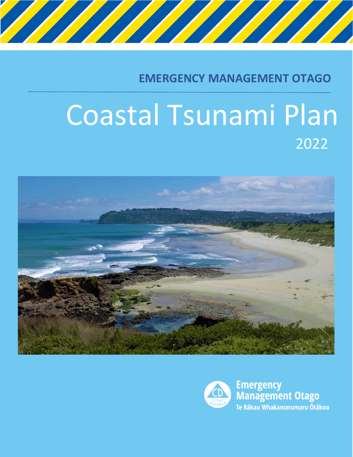

**EMERGENCY MANAGEMENT OTAGO**

# Coastal Tsunami Plan 2022





**Emergency<br>Management Otago** Te Rākau Whakamarumaru Ōtākou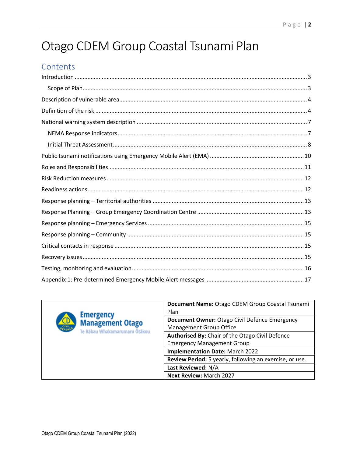## Otago CDEM Group Coastal Tsunami Plan

## Contents

<span id="page-1-0"></span>

| <b>Emergency</b>                                                          | Document Name: Otago CDEM Group Coastal Tsunami<br>Plan                         |
|---------------------------------------------------------------------------|---------------------------------------------------------------------------------|
| <b>Management Otago</b><br><b>OFFERS</b><br>Te Rākau Whakamarumaru Ötākou | Document Owner: Otago Civil Defence Emergency<br><b>Management Group Office</b> |
|                                                                           | Authorised By: Chair of the Otago Civil Defence                                 |
|                                                                           | <b>Emergency Management Group</b>                                               |
|                                                                           | <b>Implementation Date: March 2022</b>                                          |
|                                                                           | Review Period: 5 yearly, following an exercise, or use.                         |
|                                                                           | Last Reviewed: N/A                                                              |
|                                                                           | <b>Next Review: March 2027</b>                                                  |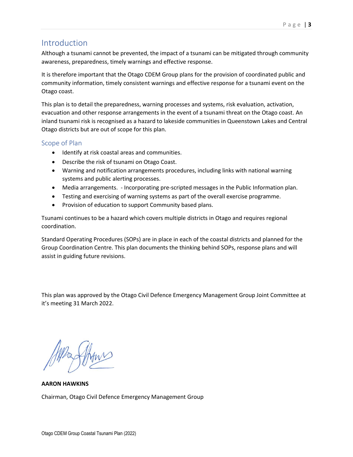#### Introduction

Although a tsunami cannot be prevented, the impact of a tsunami can be mitigated through community awareness, preparedness, timely warnings and effective response.

It is therefore important that the Otago CDEM Group plans for the provision of coordinated public and community information, timely consistent warnings and effective response for a tsunami event on the Otago coast.

This plan is to detail the preparedness, warning processes and systems, risk evaluation, activation, evacuation and other response arrangements in the event of a tsunami threat on the Otago coast. An inland tsunami risk is recognised as a hazard to lakeside communities in Queenstown Lakes and Central Otago districts but are out of scope for this plan.

#### <span id="page-2-0"></span>Scope of Plan

- Identify at risk coastal areas and communities.
- Describe the risk of tsunami on Otago Coast.
- Warning and notification arrangements procedures, including links with national warning systems and public alerting processes.
- Media arrangements. Incorporating pre-scripted messages in the Public Information plan.
- Testing and exercising of warning systems as part of the overall exercise programme.
- Provision of education to support Community based plans.

Tsunami continues to be a hazard which covers multiple districts in Otago and requires regional coordination.

Standard Operating Procedures (SOPs) are in place in each of the coastal districts and planned for the Group Coordination Centre. This plan documents the thinking behind SOPs, response plans and will assist in guiding future revisions.

This plan was approved by the Otago Civil Defence Emergency Management Group Joint Committee at it's meeting 31 March 2022.

**AARON HAWKINS** Chairman, Otago Civil Defence Emergency Management Group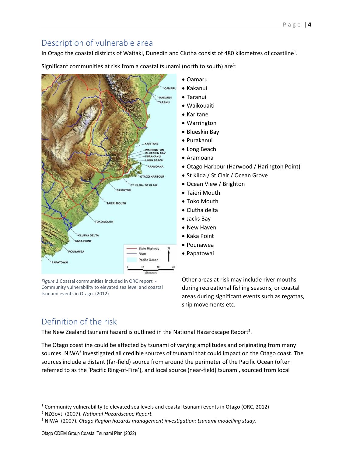## <span id="page-3-0"></span>Description of vulnerable area

In Otago the coastal districts of Waitaki, Dunedin and Clutha consist of 480 kilometres of coastline<sup>1</sup>.



Significant communities at risk from a coastal tsunami (north to south) are<sup>1</sup>:

*Figure 1* Coastal communities included in ORC report - Community vulnerability to elevated sea level and coastal tsunami events in Otago. (2012)

- Otago Harbour (Harwood / Harington Point)
- St Kilda / St Clair / Ocean Grove

Other areas at risk may include river mouths during recreational fishing seasons, or coastal areas during significant events such as regattas, ship movements etc.

## <span id="page-3-1"></span>Definition of the risk

The New Zealand tsunami hazard is outlined in the National Hazardscape Report<sup>2</sup>.

The Otago coastline could be affected by tsunami of varying amplitudes and originating from many sources. NIWA<sup>3</sup> investigated all credible sources of tsunami that could impact on the Otago coast. The sources include a distant (far-field) source from around the perimeter of the Pacific Ocean (often referred to as the 'Pacific Ring-of-Fire'), and local source (near-field) tsunami, sourced from local

<sup>1</sup> Community vulnerability to elevated sea levels and coastal tsunami events in Otago (ORC, 2012)

<sup>2</sup> NZGovt. (2007). *National Hazardscape Report.*

<sup>3</sup> NIWA. (2007). *Otago Region hazards management investigation: tsunami modelling study.*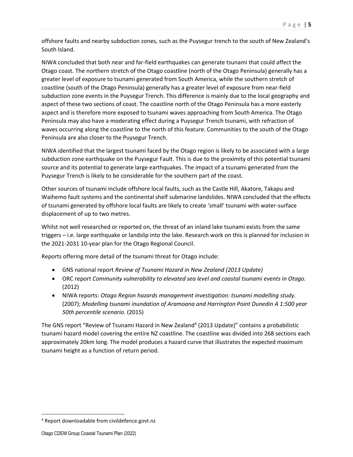offshore faults and nearby subduction zones, such as the Puysegur trench to the south of New Zealand's South Island.

NIWA concluded that both near and far-field earthquakes can generate tsunami that could affect the Otago coast. The northern stretch of the Otago coastline (north of the Otago Peninsula) generally has a greater level of exposure to tsunami generated from South America, while the southern stretch of coastline (south of the Otago Peninsula) generally has a greater level of exposure from near-field subduction zone events in the Puysegur Trench. This difference is mainly due to the local geography and aspect of these two sections of coast. The coastline north of the Otago Peninsula has a more easterly aspect and is therefore more exposed to tsunami waves approaching from South America. The Otago Peninsula may also have a moderating effect during a Puysegur Trench tsunami, with refraction of waves occurring along the coastline to the north of this feature. Communities to the south of the Otago Peninsula are also closer to the Puysegur Trench.

NIWA identified that the largest tsunami faced by the Otago region is likely to be associated with a large subduction zone earthquake on the Puysegur Fault. This is due to the proximity of this potential tsunami source and its potential to generate large earthquakes. The impact of a tsunami generated from the Puysegur Trench is likely to be considerable for the southern part of the coast.

Other sources of tsunami include offshore local faults, such as the Castle Hill, Akatore, Takapu and Waihemo fault systems and the continental shelf submarine landslides. NIWA concluded that the effects of tsunami generated by offshore local faults are likely to create 'small' tsunami with water-surface displacement of up to two metres.

Whilst not well researched or reported on, the threat of an inland lake tsunami exists from the same triggers – i.e. large earthquake or landslip into the lake. Research work on this is planned for inclusion in the 2021-2031 10-year plan for the Otago Regional Council.

Reports offering more detail of the tsunami threat for Otago include:

- GNS national report *Review of Tsunami Hazard in New Zealand (2013 Update)*
- ORC report *Community vulnerability to elevated sea level and coastal tsunami events in Otago.* (2012)
- NIWA reports: *Otago Region hazards management investigation: tsunami modelling study.*  (2007); *Modelling tsunami inundation of Aramoana and Harrington Point Dunedin A 1:500 year 50th percentile scenario.* (2015)

The GNS report "Review of Tsunami Hazard in New Zealand<sup>4</sup> (2013 Update)" contains a probabilistic tsunami hazard model covering the entire NZ coastline. The coastline was divided into 268 sections each approximately 20km long. The model produces a hazard curve that illustrates the expected maximum tsunami height as a function of return period.

<sup>4</sup> Report downloadable from civildefence.govt.nz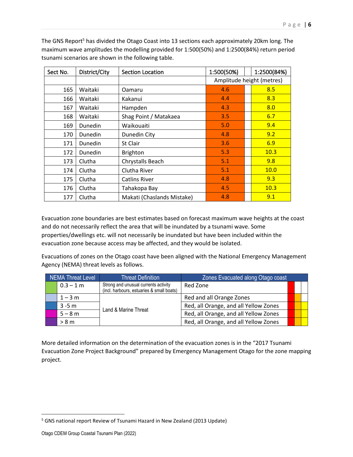| Sect No. | District/City | <b>Section Location</b>    | 1:2500(84%)<br>1:500(50%) |      |
|----------|---------------|----------------------------|---------------------------|------|
|          |               |                            | Amplitude height (metres) |      |
| 165      | Waitaki       | Oamaru                     | 4.6                       | 8.5  |
| 166      | Waitaki       | Kakanui                    | 4.4                       | 8.3  |
| 167      | Waitaki       | Hampden                    | 4.3                       | 8.0  |
| 168      | Waitaki       | Shag Point / Matakaea      | 3.5                       | 6.7  |
| 169      | Dunedin       | Waikouaiti                 | 5.0                       | 9.4  |
| 170      | Dunedin       | Dunedin City               | 4.8                       | 9.2  |
| 171      | Dunedin       | St Clair                   | 3.6                       | 6.9  |
| 172      | Dunedin       | <b>Brighton</b>            | 5.3                       | 10.3 |
| 173      | Clutha        | Chrystalls Beach           | 5.1                       | 9.8  |
| 174      | Clutha        | Clutha River               | 5.1                       | 10.0 |
| 175      | Clutha        | <b>Catlins River</b>       | 4.8                       | 9.3  |
| 176      | Clutha        | Tahakopa Bay               | 4.5                       | 10.3 |
| 177      | Clutha        | Makati (Chaslands Mistake) | 4.8                       | 9.1  |

The GNS Report<sup>5</sup> has divided the Otago Coast into 13 sections each approximately 20km long. The maximum wave amplitudes the modelling provided for 1:500(50%) and 1:2500(84%) return period tsunami scenarios are shown in the following table.

Evacuation zone boundaries are best estimates based on forecast maximum wave heights at the coast and do not necessarily reflect the area that will be inundated by a tsunami wave. Some properties/dwellings etc. will not necessarily be inundated but have been included within the evacuation zone because access may be affected, and they would be isolated.

Evacuations of zones on the Otago coast have been aligned with the National Emergency Management Agency (NEMA) threat levels as follows.

| <b>NEMA Threat Level</b> |             | <b>Threat Definition</b>                                                          | Zones Evacuated along Otago coast     |  |  |
|--------------------------|-------------|-----------------------------------------------------------------------------------|---------------------------------------|--|--|
|                          | $0.3 - 1 m$ | Strong and unusual currents activity<br>(incl. harbours, estuaries & small boats) | Red Zone                              |  |  |
|                          | $1 - 3$ m   |                                                                                   | Red and all Orange Zones              |  |  |
|                          | $3 - 5m$    | Land & Marine Threat                                                              | Red, all Orange, and all Yellow Zones |  |  |
|                          | $5 - 8 m$   |                                                                                   | Red, all Orange, and all Yellow Zones |  |  |
|                          | > 8 m       |                                                                                   | Red, all Orange, and all Yellow Zones |  |  |

More detailed information on the determination of the evacuation zones is in the "2017 Tsunami Evacuation Zone Project Background" prepared by Emergency Management Otago for the zone mapping project.

<sup>&</sup>lt;sup>5</sup> GNS national report Review of Tsunami Hazard in New Zealand (2013 Update)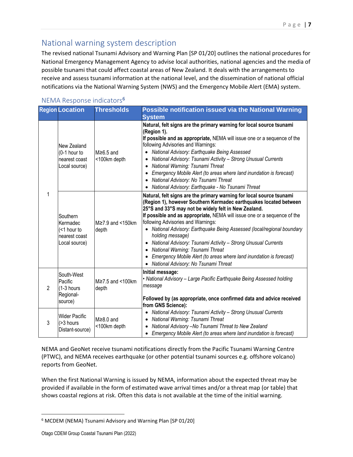## <span id="page-6-0"></span>National warning system description

The revised national Tsunami Advisory and Warning Plan [SP 01/20] outlines the national procedures for National Emergency Management Agency to advise local authorities, national agencies and the media of possible tsunami that could affect coastal areas of New Zealand. It deals with the arrangements to receive and assess tsunami information at the national level, and the dissemination of national official notifications via the National Warning System (NWS) and the Emergency Mobile Alert (EMA) system.

#### <span id="page-6-1"></span>NEMA Response indicators<sup>6</sup>

|                | <b>Region Location</b>                                                | <b>Thresholds</b>                     | Possible notification issued via the National Warning                                                                                                                                                                                                                                                                                                                                                                                                                                                                                                                                                                                          |  |
|----------------|-----------------------------------------------------------------------|---------------------------------------|------------------------------------------------------------------------------------------------------------------------------------------------------------------------------------------------------------------------------------------------------------------------------------------------------------------------------------------------------------------------------------------------------------------------------------------------------------------------------------------------------------------------------------------------------------------------------------------------------------------------------------------------|--|
|                |                                                                       |                                       | <b>System</b>                                                                                                                                                                                                                                                                                                                                                                                                                                                                                                                                                                                                                                  |  |
|                | New Zealand<br>(0-1 hour to<br>nearest coast<br>Local source)         | $M \geq 6.5$ and<br><100km depth      | Natural, felt signs are the primary warning for local source tsunami<br>(Region 1).<br>If possible and as appropriate, NEMA will issue one or a sequence of the<br>following Advisories and Warnings:<br>• National Advisory: Earthquake Being Assessed<br>National Advisory: Tsunami Activity - Strong Unusual Currents<br>• National Warning: Tsunami Threat<br>• Emergency Mobile Alert (to areas where land inundation is forecast)<br>• National Advisory: No Tsunami Threat<br>National Advisory: Earthquake - No Tsunami Threat                                                                                                         |  |
| 1              | Southern<br>Kermadec<br>(<1 hour to<br>nearest coast<br>Local source) | $M \ge 7.9$ and $\le 150$ km<br>depth | Natural, felt signs are the primary warning for local source tsunami<br>(Region 1), however Southern Kermadec earthquakes located between<br>25°S and 33°S may not be widely felt in New Zealand.<br>If possible and as appropriate, NEMA will issue one or a sequence of the<br>following Advisories and Warnings:<br>• National Advisory: Earthquake Being Assessed (local/regional boundary<br>holding message)<br>• National Advisory: Tsunami Activity - Strong Unusual Currents<br>• National Warning: Tsunami Threat<br>• Emergency Mobile Alert (to areas where land inundation is forecast)<br>• National Advisory: No Tsunami Threat |  |
| $\mathfrak{p}$ | South-West<br>Pacific<br>$(1-3$ hours<br>Regional-<br>source)         | $M \ge 7.5$ and <100km<br>depth       | Initial message:<br>• National Advisory - Large Pacific Earthquake Being Assessed holding<br>message<br>Followed by (as appropriate, once confirmed data and advice received<br>from GNS Science):                                                                                                                                                                                                                                                                                                                                                                                                                                             |  |
| 3              | <b>Wider Pacific</b><br>(>3 hours<br>Distant-source)                  | $M \geq 8.0$ and<br><100km depth      | National Advisory: Tsunami Activity - Strong Unusual Currents<br>• National Warning: Tsunami Threat<br>• National Advisory - No Tsunami Threat to New Zealand<br>• Emergency Mobile Alert (to areas where land inundation is forecast)                                                                                                                                                                                                                                                                                                                                                                                                         |  |

NEMA and GeoNet receive tsunami notifications directly from the Pacific Tsunami Warning Centre (PTWC), and NEMA receives earthquake (or other potential tsunami sources e.g. offshore volcano) reports from GeoNet.

When the first National Warning is issued by NEMA, information about the expected threat may be provided if available in the form of estimated wave arrival times and/or a threat map (or table) that shows coastal regions at risk. Often this data is not available at the time of the initial warning.

<sup>6</sup> MCDEM (NEMA) Tsunami Advisory and Warning Plan [SP 01/20]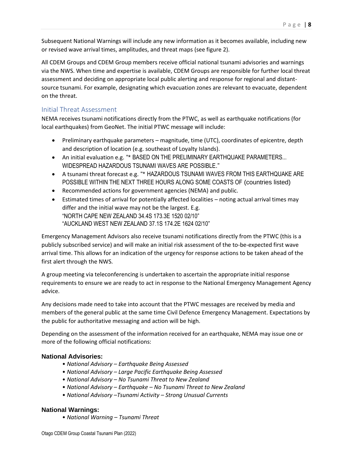All CDEM Groups and CDEM Group members receive official national tsunami advisories and warnings via the NWS. When time and expertise is available, CDEM Groups are responsible for further local threat assessment and deciding on appropriate local public alerting and response for regional and distantsource tsunami. For example, designating which evacuation zones are relevant to evacuate, dependent on the threat.

#### <span id="page-7-0"></span>Initial Threat Assessment

NEMA receives tsunami notifications directly from the PTWC, as well as earthquake notifications (for local earthquakes) from GeoNet. The initial PTWC message will include:

- Preliminary earthquake parameters magnitude, time (UTC), coordinates of epicentre, depth and description of location (e.g. southeast of Loyalty Islands).
- An initial evaluation e.g. "\* BASED ON THE PRELIMINARY EARTHQUAKE PARAMETERS... WIDESPREAD HAZARDOUS TSUNAMI WAVES ARE POSSIBLE."
- A tsunami threat forecast e.g. "\* HAZARDOUS TSUNAMI WAVES FROM THIS EARTHQUAKE ARE POSSIBLE WITHIN THE NEXT THREE HOURS ALONG SOME COASTS OF (countries listed)
- Recommended actions for government agencies (NEMA) and public.
- Estimated times of arrival for potentially affected localities noting actual arrival times may differ and the initial wave may not be the largest. E.g. "NORTH CAPE NEW ZEALAND 34.4S 173.3E 1520 02/10" "AUCKLAND WEST NEW ZEALAND 37.1S 174.2E 1624 02/10"

Emergency Management Advisors also receive tsunami notifications directly from the PTWC (this is a publicly subscribed service) and will make an initial risk assessment of the to-be-expected first wave arrival time. This allows for an indication of the urgency for response actions to be taken ahead of the first alert through the NWS.

A group meeting via teleconferencing is undertaken to ascertain the appropriate initial response requirements to ensure we are ready to act in response to the National Emergency Management Agency advice.

Any decisions made need to take into account that the PTWC messages are received by media and members of the general public at the same time Civil Defence Emergency Management. Expectations by the public for authoritative messaging and action will be high.

Depending on the assessment of the information received for an earthquake, NEMA may issue one or more of the following official notifications:

#### **National Advisories:**

- *National Advisory – Earthquake Being Assessed*
- *National Advisory – Large Pacific Earthquake Being Assessed*
- *National Advisory – No Tsunami Threat to New Zealand*
- *National Advisory – Earthquake – No Tsunami Threat to New Zealand*
- *National Advisory –Tsunami Activity – Strong Unusual Currents*

#### **National Warnings:**

• *National Warning – Tsunami Threat*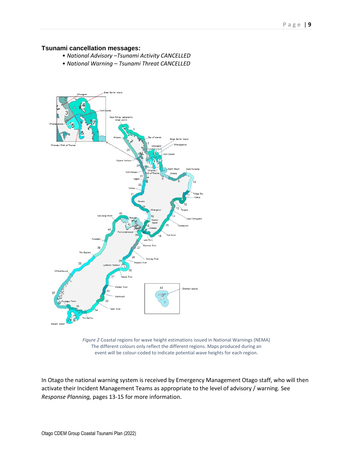#### **Tsunami cancellation messages:**

- *National Advisory –Tsunami Activity CANCELLED*
- *National Warning – Tsunami Threat CANCELLED*



*Figure 2* Coastal regions for wave height estimations issued in National Warnings (NEMA) The different colours only reflect the different regions. Maps produced during an event will be colour-coded to indicate potential wave heights for each region.

In Otago the national warning system is received by Emergency Management Otago staff, who will then activate their Incident Management Teams as appropriate to the level of advisory / warning. See *Response Planning,* pages 13-15 for more information.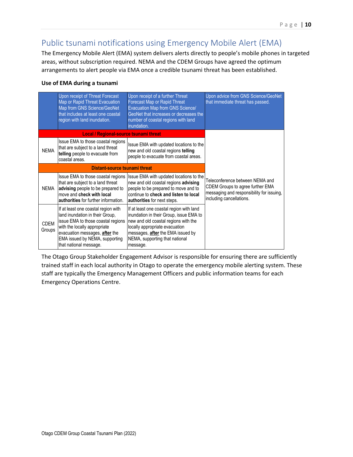## <span id="page-9-0"></span>Public tsunami notifications using Emergency Mobile Alert (EMA)

The Emergency Mobile Alert (EMA) system delivers alerts directly to people's mobile phones in targeted areas, without subscription required. NEMA and the CDEM Groups have agreed the optimum arrangements to alert people via EMA once a credible tsunami threat has been established.

#### **Use of EMA during a tsunami**

|                               | Upon receipt of Threat Forecast<br>Map or Rapid Threat Evacuation<br>Map from GNS Science/GeoNet<br>that includes at least one coastal<br>region with land inundation.                                                                     | Upon receipt of a further Threat<br><b>Forecast Map or Rapid Threat</b><br>Evacuation Map from GNS Science/<br>GeoNet that increases or decreases the<br>number of coastal regions with land<br>inundation.                                      | Upon advice from GNS Science/GeoNet<br>that immediate threat has passed.                                                                     |  |
|-------------------------------|--------------------------------------------------------------------------------------------------------------------------------------------------------------------------------------------------------------------------------------------|--------------------------------------------------------------------------------------------------------------------------------------------------------------------------------------------------------------------------------------------------|----------------------------------------------------------------------------------------------------------------------------------------------|--|
|                               | <b>Local / Regional-source tsunami threat</b>                                                                                                                                                                                              |                                                                                                                                                                                                                                                  |                                                                                                                                              |  |
| <b>NEMA</b>                   | Issue EMA to those coastal regions<br>that are subject to a land threat<br>telling people to evacuate from<br>coastal areas.                                                                                                               | Issue EMA with updated locations to the<br>new and old coastal regions telling<br>people to evacuate from coastal areas.                                                                                                                         |                                                                                                                                              |  |
| Distant-source tsunami threat |                                                                                                                                                                                                                                            |                                                                                                                                                                                                                                                  |                                                                                                                                              |  |
| NEMA                          | Issue EMA to those coastal regions<br>that are subject to a land threat<br>advising people to be prepared to<br>move and check with local<br><b>authorities</b> for further information.                                                   | Issue EMA with updated locations to the<br>new and old coastal regions advising<br>people to be prepared to move and to<br>continue to check and listen to local<br>authorities for next steps.                                                  | Teleconference between NEMA and<br>CDEM Groups to agree further EMA<br>messaging and responsibility for issuing,<br>including cancellations. |  |
| <b>CDEM</b><br>Groups         | If at least one coastal region with<br>land inundation in their Group,<br>issue EMA to those coastal regions<br>with the locally appropriate<br>evacuation messages, after the<br>EMA issued by NEMA, supporting<br>that national message. | If at least one coastal region with land<br>inundation in their Group, issue EMA to<br>new and old coastal regions with the<br>locally appropriate evacuation<br>messages, after the EMA issued by<br>NEMA, supporting that national<br>message. |                                                                                                                                              |  |

The Otago Group Stakeholder Engagement Advisor is responsible for ensuring there are sufficiently trained staff in each local authority in Otago to operate the emergency mobile alerting system. These staff are typically the Emergency Management Officers and public information teams for each Emergency Operations Centre.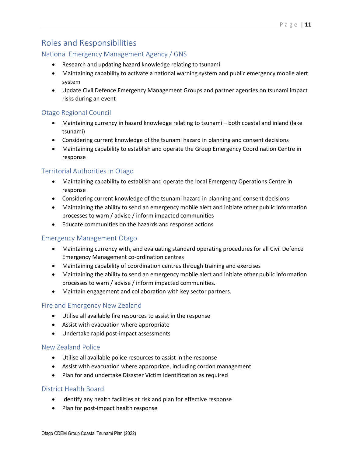## <span id="page-10-0"></span>Roles and Responsibilities

#### National Emergency Management Agency / GNS

- Research and updating hazard knowledge relating to tsunami
- Maintaining capability to activate a national warning system and public emergency mobile alert system
- Update Civil Defence Emergency Management Groups and partner agencies on tsunami impact risks during an event

#### Otago Regional Council

- Maintaining currency in hazard knowledge relating to tsunami both coastal and inland (lake tsunami)
- Considering current knowledge of the tsunami hazard in planning and consent decisions
- Maintaining capability to establish and operate the Group Emergency Coordination Centre in response

#### Territorial Authorities in Otago

- Maintaining capability to establish and operate the local Emergency Operations Centre in response
- Considering current knowledge of the tsunami hazard in planning and consent decisions
- Maintaining the ability to send an emergency mobile alert and initiate other public information processes to warn / advise / inform impacted communities
- Educate communities on the hazards and response actions

#### Emergency Management Otago

- Maintaining currency with, and evaluating standard operating procedures for all Civil Defence Emergency Management co-ordination centres
- Maintaining capability of coordination centres through training and exercises
- Maintaining the ability to send an emergency mobile alert and initiate other public information processes to warn / advise / inform impacted communities.
- Maintain engagement and collaboration with key sector partners.

#### Fire and Emergency New Zealand

- Utilise all available fire resources to assist in the response
- Assist with evacuation where appropriate
- Undertake rapid post-impact assessments

#### New Zealand Police

- Utilise all available police resources to assist in the response
- Assist with evacuation where appropriate, including cordon management
- Plan for and undertake Disaster Victim Identification as required

#### District Health Board

- Identify any health facilities at risk and plan for effective response
- Plan for post-impact health response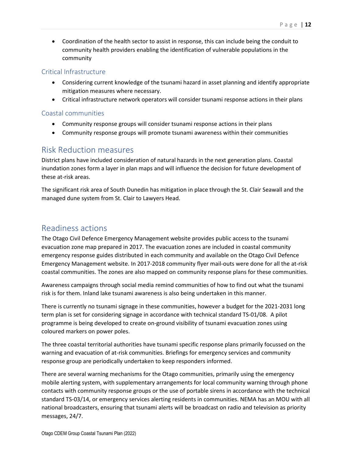• Coordination of the health sector to assist in response, this can include being the conduit to community health providers enabling the identification of vulnerable populations in the community

#### Critical Infrastructure

- Considering current knowledge of the tsunami hazard in asset planning and identify appropriate mitigation measures where necessary.
- Critical infrastructure network operators will consider tsunami response actions in their plans

#### Coastal communities

- Community response groups will consider tsunami response actions in their plans
- Community response groups will promote tsunami awareness within their communities

#### <span id="page-11-0"></span>Risk Reduction measures

District plans have included consideration of natural hazards in the next generation plans. Coastal inundation zones form a layer in plan maps and will influence the decision for future development of these at-risk areas.

The significant risk area of South Dunedin has mitigation in place through the St. Clair Seawall and the managed dune system from St. Clair to Lawyers Head.

#### <span id="page-11-1"></span>Readiness actions

The Otago Civil Defence Emergency Management website provides public access to the tsunami evacuation zone map prepared in 2017. The evacuation zones are included in coastal community emergency response guides distributed in each community and available on the Otago Civil Defence Emergency Management website. In 2017-2018 community flyer mail-outs were done for all the at-risk coastal communities. The zones are also mapped on community response plans for these communities.

Awareness campaigns through social media remind communities of how to find out what the tsunami risk is for them. Inland lake tsunami awareness is also being undertaken in this manner.

There is currently no tsunami signage in these communities, however a budget for the 2021-2031 long term plan is set for considering signage in accordance with technical standard TS-01/08. A pilot programme is being developed to create on-ground visibility of tsunami evacuation zones using coloured markers on power poles.

The three coastal territorial authorities have tsunami specific response plans primarily focussed on the warning and evacuation of at-risk communities. Briefings for emergency services and community response group are periodically undertaken to keep responders informed.

There are several warning mechanisms for the Otago communities, primarily using the emergency mobile alerting system, with supplementary arrangements for local community warning through phone contacts with community response groups or the use of portable sirens in accordance with the technical standard TS-03/14, or emergency services alerting residents in communities. NEMA has an MOU with all national broadcasters, ensuring that tsunami alerts will be broadcast on radio and television as priority messages, 24/7.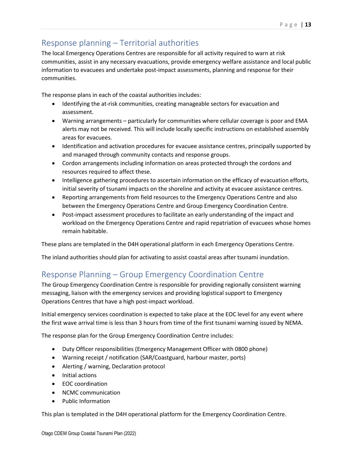## <span id="page-12-0"></span>Response planning – Territorial authorities

The local Emergency Operations Centres are responsible for all activity required to warn at risk communities, assist in any necessary evacuations, provide emergency welfare assistance and local public information to evacuees and undertake post-impact assessments, planning and response for their communities.

The response plans in each of the coastal authorities includes:

- Identifying the at-risk communities, creating manageable sectors for evacuation and assessment.
- Warning arrangements particularly for communities where cellular coverage is poor and EMA alerts may not be received. This will include locally specific instructions on established assembly areas for evacuees.
- Identification and activation procedures for evacuee assistance centres, principally supported by and managed through community contacts and response groups.
- Cordon arrangements including information on areas protected through the cordons and resources required to affect these.
- Intelligence gathering procedures to ascertain information on the efficacy of evacuation efforts, initial severity of tsunami impacts on the shoreline and activity at evacuee assistance centres.
- Reporting arrangements from field resources to the Emergency Operations Centre and also between the Emergency Operations Centre and Group Emergency Coordination Centre.
- Post-impact assessment procedures to facilitate an early understanding of the impact and workload on the Emergency Operations Centre and rapid repatriation of evacuees whose homes remain habitable.

These plans are templated in the D4H operational platform in each Emergency Operations Centre.

The inland authorities should plan for activating to assist coastal areas after tsunami inundation.

## <span id="page-12-1"></span>Response Planning – Group Emergency Coordination Centre

The Group Emergency Coordination Centre is responsible for providing regionally consistent warning messaging, liaison with the emergency services and providing logistical support to Emergency Operations Centres that have a high post-impact workload.

Initial emergency services coordination is expected to take place at the EOC level for any event where the first wave arrival time is less than 3 hours from time of the first tsunami warning issued by NEMA.

The response plan for the Group Emergency Coordination Centre includes:

- Duty Officer responsibilities (Emergency Management Officer with 0800 phone)
- Warning receipt / notification (SAR/Coastguard, harbour master, ports)
- Alerting / warning, Declaration protocol
- Initial actions
- EOC coordination
- NCMC communication
- Public Information

This plan is templated in the D4H operational platform for the Emergency Coordination Centre.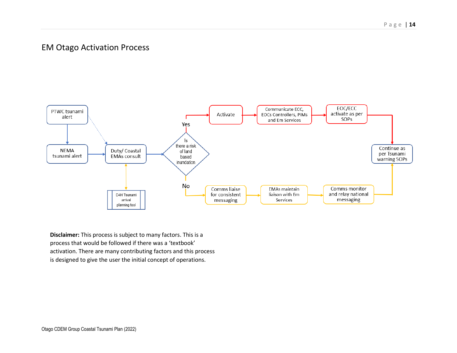## EM Otago Activation Process



**Disclaimer:** This process is subject to many factors. This is a process that would be followed if there was a 'textbook' activation. There are many contributing factors and this process is designed to give the user the initial concept of operations.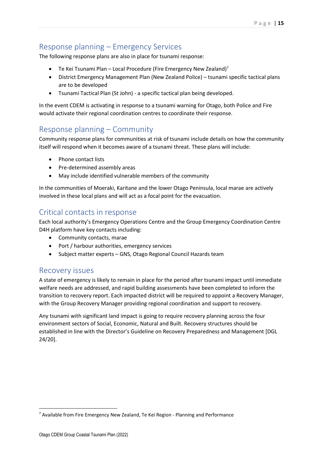## <span id="page-14-0"></span>Response planning – Emergency Services

The following response plans are also in place for tsunami response:

- Te Kei Tsunami Plan Local Procedure (Fire Emergency New Zealand)<sup>7</sup>
- District Emergency Management Plan (New Zealand Police) tsunami specific tactical plans are to be developed
- Tsunami Tactical Plan (St John) a specific tactical plan being developed.

<span id="page-14-1"></span>In the event CDEM is activating in response to a tsunami warning for Otago, both Police and Fire would activate their regional coordination centres to coordinate their response.

### Response planning – Community

Community response plans for communities at risk of tsunami include details on how the community itself will respond when it becomes aware of a tsunami threat. These plans will include:

- Phone contact lists
- Pre-determined assembly areas
- May include identified vulnerable members of the community

<span id="page-14-2"></span>In the communities of Moeraki, Karitane and the lower Otago Peninsula, local marae are actively involved in these local plans and will act as a focal point for the evacuation.

#### Critical contacts in response

Each local authority's Emergency Operations Centre and the Group Emergency Coordination Centre D4H platform have key contacts including:

- <span id="page-14-3"></span>• Community contacts, marae
- Port / harbour authorities, emergency services
- Subject matter experts GNS, Otago Regional Council Hazards team

#### Recovery issues

A state of emergency is likely to remain in place for the period after tsunami impact until immediate welfare needs are addressed, and rapid building assessments have been completed to inform the transition to recovery report. Each impacted district will be required to appoint a Recovery Manager, with the Group Recovery Manager providing regional coordination and support to recovery.

Any tsunami with significant land impact is going to require recovery planning across the four environment sectors of Social, Economic, Natural and Built. Recovery structures should be established in line with the Director's Guideline on Recovery Preparedness and Management [DGL 24/20].

<sup>7</sup> Available from Fire Emergency New Zealand, Te Kei Region - Planning and Performance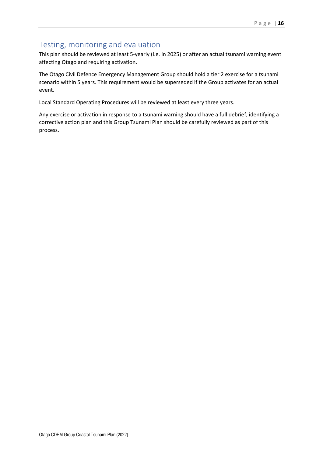## <span id="page-15-0"></span>Testing, monitoring and evaluation

This plan should be reviewed at least 5-yearly (i.e. in 2025) or after an actual tsunami warning event affecting Otago and requiring activation.

The Otago Civil Defence Emergency Management Group should hold a tier 2 exercise for a tsunami scenario within 5 years. This requirement would be superseded if the Group activates for an actual event.

Local Standard Operating Procedures will be reviewed at least every three years.

Any exercise or activation in response to a tsunami warning should have a full debrief, identifying a corrective action plan and this Group Tsunami Plan should be carefully reviewed as part of this process.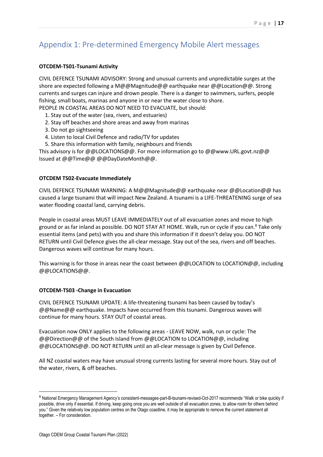## <span id="page-16-0"></span>Appendix 1: Pre-determined Emergency Mobile Alert messages

#### **OTCDEM-TS01-Tsunami Activity**

CIVIL DEFENCE TSUNAMI ADVISORY: Strong and unusual currents and unpredictable surges at the shore are expected following a M@@Magnitude@@ earthquake near @@Location@@. Strong currents and surges can injure and drown people. There is a danger to swimmers, surfers, people fishing, small boats, marinas and anyone in or near the water close to shore.

PEOPLE IN COASTAL AREAS DO NOT NEED TO EVACUATE, but should:

- 1. Stay out of the water (sea, rivers, and estuaries)
- 2. Stay off beaches and shore areas and away from marinas
- 3. Do not go sightseeing
- 4. Listen to local Civil Defence and radio/TV for updates
- 5. Share this information with family, neighbours and friends

This advisory is for @@LOCATIONS@@. For more information go to @@www.URL.govt.nz@@ Issued at @@Time@@ @@DayDateMonth@@.

#### **OTCDEM TS02-Evacuate Immediately**

CIVIL DEFENCE TSUNAMI WARNING: A M@@Magnitude@@ earthquake near @@Location@@ has caused a large tsunami that will impact New Zealand. A tsunami is a LIFE-THREATENING surge of sea water flooding coastal land, carrying debris.

People in coastal areas MUST LEAVE IMMEDIATELY out of all evacuation zones and move to high ground or as far inland as possible. DO NOT STAY AT HOME. Walk, run or cycle if you can.<sup>8</sup> Take only essential items (and pets) with you and share this information if it doesn't delay you. DO NOT RETURN until Civil Defence gives the all-clear message. Stay out of the sea, rivers and off beaches. Dangerous waves will continue for many hours.

This warning is for those in areas near the coast between  $@@$  LOCATION to LOCATION  $@@$ , including @@LOCATIONS@@.

#### **OTCDEM-TS03 -Change in Evacuation**

CIVIL DEFENCE TSUNAMI UPDATE: A life-threatening tsunami has been caused by today's @@Name@@ earthquake. Impacts have occurred from this tsunami. Dangerous waves will continue for many hours. STAY OUT of coastal areas.

Evacuation now ONLY applies to the following areas - LEAVE NOW, walk, run or cycle: The @@Direction@@ of the South Island from @@LOCATION to LOCATION@@, including @@LOCATIONS@@. DO NOT RETURN until an all-clear message is given by Civil Defence.

All NZ coastal waters may have unusual strong currents lasting for several more hours. Stay out of the water, rivers, & off beaches.

<sup>8</sup> National Emergency Management Agency's consistent-messages-part-B-tsunami-revised-Oct-2017 recommends "Walk or bike quickly if possible, drive only if essential. If driving, keep going once you are well outside of all evacuation zones, to allow room for others behind you." Given the relatively low population centres on the Otago coastline, it may be appropriate to remove the current statement all together. – For consideration.